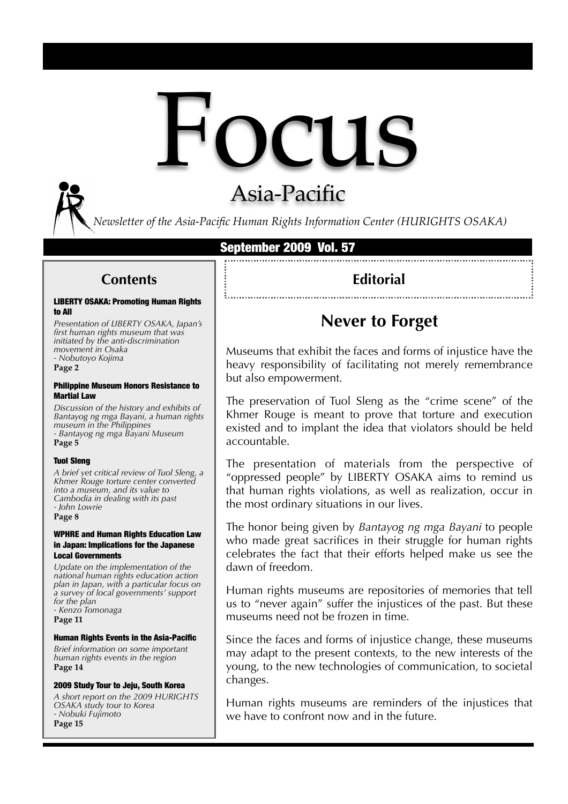

## Asia-Pacific

*Newsletter of the Asia-Pacific Human Rights Information Center (HURIGHTS OSAKA)*

#### September 2009 Vol. 57

### **Contents**

#### LIBERTY OSAKA: Promoting Human Rights to All

*Presentation of LIBERTY OSAKA, Japan's first human rights museum that was initiated by the anti-discrimination movement in Osaka - Nobutoyo Kojima*  **Page 2**

#### Philippine Museum Honors Resistance to Martial Law

*Discussion of the history and exhibits of Bantayog ng mga Bayani, a human rights museum in the Philippines - Bantayog ng mga Bayani Museum* **Page 5**

#### Tuol Sleng

*A brief yet critical review of Tuol Sleng, a Khmer Rouge torture center converted into a museum, and its value to Cambodia in dealing with its past - John Lowrie*

**Page 8**

#### WPHRE and Human Rights Education Law in Japan: Implications for the Japanese Local Governments

*Update on the implementation of the national human rights education action plan in Japan, with a particular focus on a survey of local governments' support for the plan - Kenzo Tomonaga*

**Page 11**

#### Human Rights Events in the Asia-Pacific

*Brief information on some important human rights events in the region* **Page 14**

#### 2009 Study Tour to Jeju, South Korea

*A short report on the 2009 HURIGHTS OSAKA study tour to Korea - Nobuki Fujimoto* **Page 15**

## **Editorial**

## **Never to Forget**

Museums that exhibit the faces and forms of injustice have the heavy responsibility of facilitating not merely remembrance but also empowerment.

The preservation of Tuol Sleng as the "crime scene" of the Khmer Rouge is meant to prove that torture and execution existed and to implant the idea that violators should be held accountable.

The presentation of materials from the perspective of "oppressed people" by LIBERTY OSAKA aims to remind us that human rights violations, as well as realization, occur in the most ordinary situations in our lives.

The honor being given by *Bantayog ng mga Bayani* to people who made great sacrifices in their struggle for human rights celebrates the fact that their efforts helped make us see the dawn of freedom.

Human rights museums are repositories of memories that tell us to "never again" suffer the injustices of the past. But these museums need not be frozen in time.

Since the faces and forms of injustice change, these museums may adapt to the present contexts, to the new interests of the young, to the new technologies of communication, to societal changes.

Human rights museums are reminders of the injustices that we have to confront now and in the future.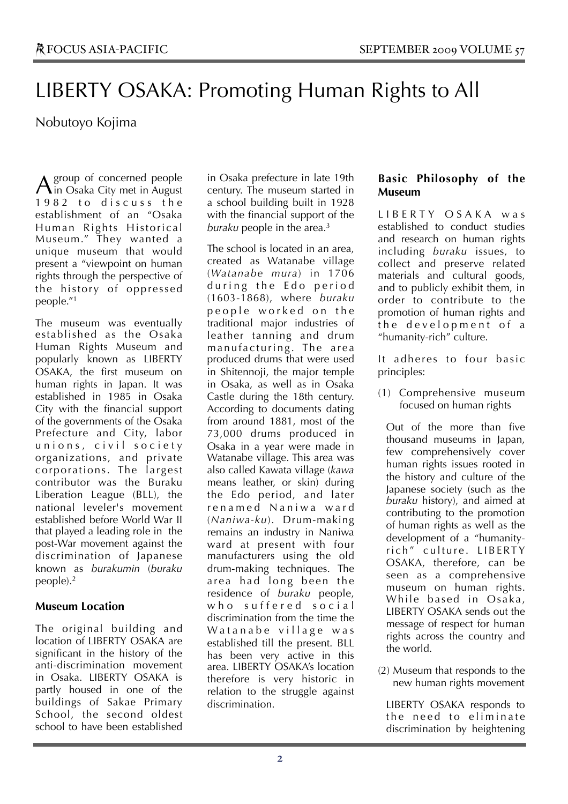## LIBERTY OSAKA: Promoting Human Rights to All

## Nobutoyo Kojima

group of concerned people  $\mathbf A$  group of concerned people<br>in Osaka City met in August 1982 to discuss the establishment of an "Osaka Human Rights Historical Museum." They wanted a unique museum that would present a "viewpoint on human rights through the perspective of the history of oppressed people."1

The museum was eventually established as the Osaka Human Rights Museum and popularly known as LIBERTY OSAKA, the first museum on human rights in Japan. It was established in 1985 in Osaka City with the financial support of the governments of the Osaka Prefecture and City, labor unions, civil society organizations, and private corporations. The largest contributor was the Buraku Liberation League (BLL), the national leveler's movement established before World War II that played a leading role in the post-War movement against the discrimination of Japanese known as *burakumin* (*buraku* people).2

### **Museum Location**

The original building and location of LIBERTY OSAKA are significant in the history of the anti-discrimination movement in Osaka. LIBERTY OSAKA is partly housed in one of the buildings of Sakae Primary School, the second oldest school to have been established

in Osaka prefecture in late 19th century. The museum started in a school building built in 1928 with the financial support of the *buraku* people in the area.3

The school is located in an area, created as Watanabe village (*Watanabe mura*) in 1706 during the Edo period (1603-1868), where *buraku* people worked on the traditional major industries of leather tanning and drum manufacturing. The area produced drums that were used in Shitennoji, the major temple in Osaka, as well as in Osaka Castle during the 18th century. According to documents dating from around 1881, most of the 73,000 drums produced in Osaka in a year were made in Watanabe village. This area was also called Kawata village (*kawa* means leather, or skin) during the Edo period, and later renamed Naniwa ward (*Naniwa-ku*). Drum-making remains an industry in Naniwa ward at present with four manufacturers using the old drum-making techniques. The area had long been the residence of *buraku* people, who suffered social discrimination from the time the Watanabe village was established till the present. BLL has been very active in this area. LIBERTY OSAKA's location therefore is very historic in relation to the struggle against discrimination.

### **Basic Philosophy of the Museum**

L I B E R T Y O S A K A w a s established to conduct studies and research on human rights including *buraku* issues, to collect and preserve related materials and cultural goods, and to publicly exhibit them, in order to contribute to the promotion of human rights and the development of a "humanity-rich" culture.

It adheres to four basic principles:

(1) Comprehensive museum focused on human rights

Out of the more than five thousand museums in Japan, few comprehensively cover human rights issues rooted in the history and culture of the Japanese society (such as the *buraku* history), and aimed at contributing to the promotion of human rights as well as the development of a "humanityrich" culture. LIBERTY OSAKA, therefore, can be seen as a comprehensive museum on human rights. While based in Osaka, LIBERTY OSAKA sends out the message of respect for human rights across the country and the world.

(2) Museum that responds to the new human rights movement

LIBERTY OSAKA responds to the need to eliminate discrimination by heightening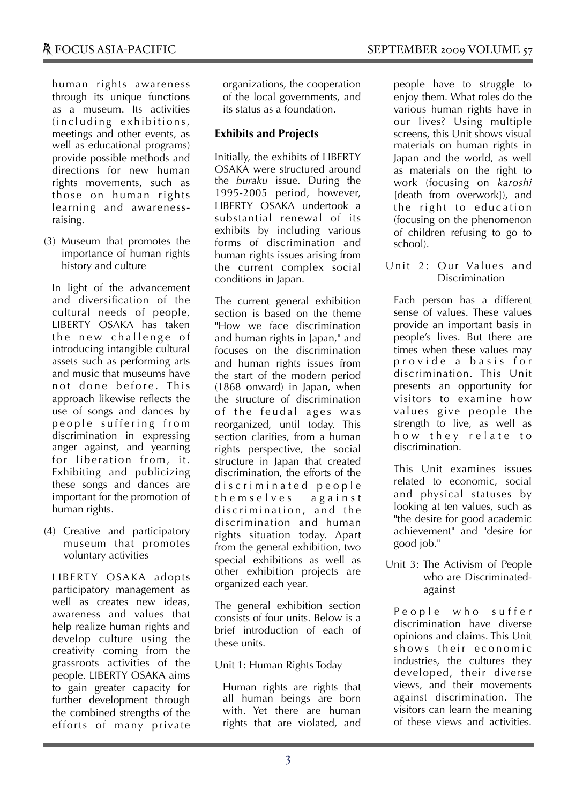human rights awareness through its unique functions as a museum. Its activities (including exhibitions, meetings and other events, as well as educational programs) provide possible methods and directions for new human rights movements, such as those on human rights learning and awarenessraising.

(3) Museum that promotes the importance of human rights history and culture

In light of the advancement and diversification of the cultural needs of people, LIBERTY OSAKA has taken the new challenge of introducing intangible cultural assets such as performing arts and music that museums have not done before. This approach likewise reflects the use of songs and dances by people suffering from discrimination in expressing anger against, and yearning for liberation from, it. Exhibiting and publicizing these songs and dances are important for the promotion of human rights.

(4) Creative and participatory museum that promotes voluntary activities

LIBERTY OSAKA adopts participatory management as well as creates new ideas, awareness and values that help realize human rights and develop culture using the creativity coming from the grassroots activities of the people. LIBERTY OSAKA aims to gain greater capacity for further development through the combined strengths of the efforts of many private organizations, the cooperation of the local governments, and its status as a foundation.

## **Exhibits and Projects**

Initially, the exhibits of LIBERTY OSAKA were structured around the *buraku* issue. During the 1995-2005 period, however, LIBERTY OSAKA undertook a substantial renewal of its exhibits by including various forms of discrimination and human rights issues arising from the current complex social conditions in Japan.

The current general exhibition section is based on the theme "How we face discrimination and human rights in Japan," and focuses on the discrimination and human rights issues from the start of the modern period (1868 onward) in Japan, when the structure of discrimination of the feudal ages was reorganized, until today. This section clarifies, from a human rights perspective, the social structure in Japan that created discrimination, the efforts of the discriminated people themselves against discrimination, and the discrimination and human rights situation today. Apart from the general exhibition, two special exhibitions as well as other exhibition projects are organized each year.

The general exhibition section consists of four units. Below is a brief introduction of each of these units.

### Unit 1: Human Rights Today

Human rights are rights that all human beings are born with. Yet there are human rights that are violated, and

people have to struggle to enjoy them. What roles do the various human rights have in our lives? Using multiple screens, this Unit shows visual materials on human rights in Japan and the world, as well as materials on the right to work (focusing on *karoshi* [death from overwork]), and the right to education (focusing on the phenomenon of children refusing to go to school).

Unit 2: Our Values and **Discrimination** 

Each person has a different sense of values. These values provide an important basis in people's lives. But there are times when these values may p r o v i d e a b a s i s f o r discrimination. This Unit presents an opportunity for visitors to examine how values give people the strength to live, as well as how they relate to discrimination.

This Unit examines issues related to economic, social and physical statuses by looking at ten values, such as "the desire for good academic achievement" and "desire for good job."

Unit 3: The Activism of People who are Discriminatedagainst

People who suffer discrimination have diverse opinions and claims. This Unit shows their economic industries, the cultures they developed, their diverse views, and their movements against discrimination. The visitors can learn the meaning of these views and activities.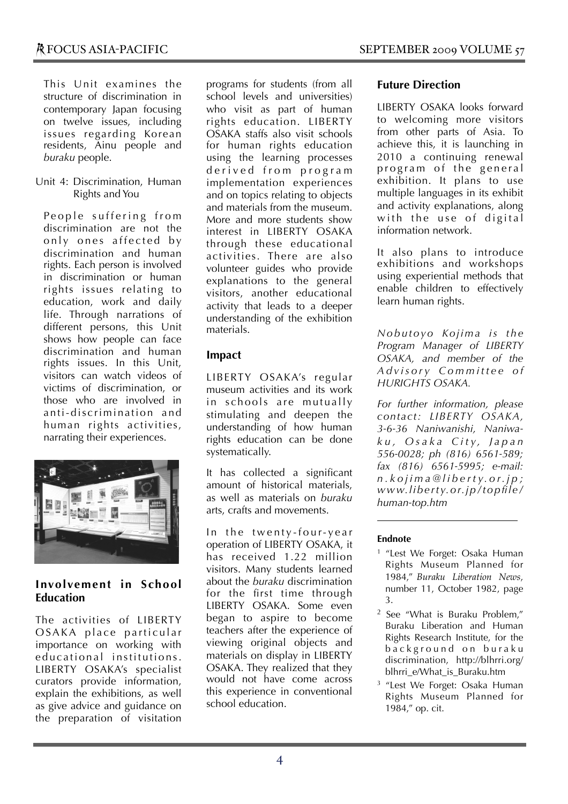This Unit examines the structure of discrimination in contemporary Japan focusing on twelve issues, including issues regarding Korean residents, Ainu people and *buraku* people.

Unit 4: Discrimination, Human Rights and You

People suffering from discrimination are not the only ones affected by discrimination and human rights. Each person is involved in discrimination or human rights issues relating to education, work and daily life. Through narrations of different persons, this Unit shows how people can face discrimination and human rights issues. In this Unit, visitors can watch videos of victims of discrimination, or those who are involved in anti-discrimination and human rights activities, narrating their experiences.



### **Involvement in School Education**

The activities of LIBERTY OSAKA place particular importance on working with educational institutions. LIBERTY OSAKA's specialist curators provide information, explain the exhibitions, as well as give advice and guidance on the preparation of visitation programs for students (from all school levels and universities) who visit as part of human rights education. LIBERTY OSAKA staffs also visit schools for human rights education using the learning processes derived from program implementation experiences and on topics relating to objects and materials from the museum. More and more students show interest in LIBERTY OSAKA through these educational activities. There are also volunteer guides who provide explanations to the general visitors, another educational activity that leads to a deeper understanding of the exhibition materials.

## **Impact**

LIBERTY OSAKA's regular museum activities and its work in schools are mutually stimulating and deepen the understanding of how human rights education can be done systematically.

It has collected a significant amount of historical materials, as well as materials on *buraku* arts, crafts and movements.

In the twenty-four-year operation of LIBERTY OSAKA, it has received 1.22 million visitors. Many students learned about the *buraku* discrimination for the first time through LIBERTY OSAKA. Some even began to aspire to become teachers after the experience of viewing original objects and materials on display in LIBERTY OSAKA. They realized that they would not have come across this experience in conventional school education.

### **Future Direction**

LIBERTY OSAKA looks forward to welcoming more visitors from other parts of Asia. To achieve this, it is launching in 2010 a continuing renewal program of the general exhibition. It plans to use multiple languages in its exhibit and activity explanations, along with the use of digital information network.

It also plans to introduce exhibitions and workshops using experiential methods that enable children to effectively learn human rights.

*Nobutoyo Kojima is the Program Manager of LIBERTY OSAKA, and member of the A d v i s o r y C o m m i t t e e o f HURIGHTS OSAKA.*

*For further information, please contact: LIBERTY OSAKA, 3-6-36 Naniwanishi, Naniwak u , O s a k a C i t y, J a p a n 556-0028; ph (816) 6561-589; fax (816) 6561-5995; e-mail: n . k o j i m a @ l i b e r t y. o r. j p ; www.liberty.or.jp/topfile/ human-top.htm*

- 1 "Lest We Forget: Osaka Human Rights Museum Planned for 1984," *Buraku Liberation News*, number 11, October 1982, page 3.
- 2 See "What is Buraku Problem," Buraku Liberation and Human Rights Research Institute, for the background on buraku discrimination, http://blhrri.org/ blhrri\_e/What\_is\_Buraku.htm
- 3 "Lest We Forget: Osaka Human Rights Museum Planned for 1984," op. cit.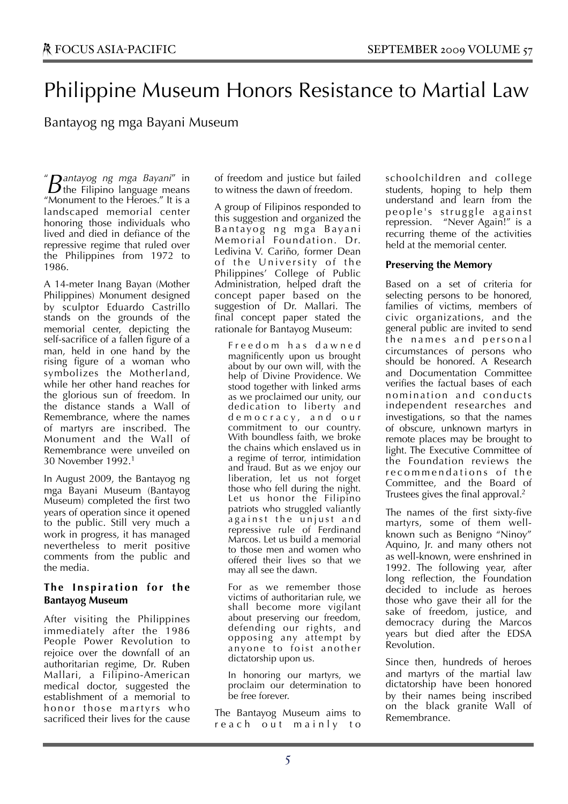## Philippine Museum Honors Resistance to Martial Law

Bantayog ng mga Bayani Museum

" **D**antayog ng mga Bayani" in **E** *Bantayog ng mga Bayani*" in  $B$  the Filipino language means "Monument to the Heroes." It is a landscaped memorial center honoring those individuals who lived and died in defiance of the repressive regime that ruled over the Philippines from 1972 to 1986.

A 14-meter Inang Bayan (Mother Philippines) Monument designed by sculptor Eduardo Castrillo stands on the grounds of the memorial center, depicting the self-sacrifice of a fallen figure of a man, held in one hand by the rising figure of a woman who symbolizes the Motherland, while her other hand reaches for the glorious sun of freedom. In the distance stands a Wall of Remembrance, where the names of martyrs are inscribed. The Monument and the Wall of Remembrance were unveiled on 30 November 1992.1

In August 2009, the Bantayog ng mga Bayani Museum (Bantayog Museum) completed the first two years of operation since it opened to the public. Still very much a work in progress, it has managed nevertheless to merit positive comments from the public and the media.

#### **The Inspiration for the Bantayog Museum**

After visiting the Philippines immediately after the 1986 People Power Revolution to rejoice over the downfall of an authoritarian regime, Dr. Ruben Mallari, a Filipino-American medical doctor, suggested the establishment of a memorial to honor those martyrs who sacrificed their lives for the cause of freedom and justice but failed to witness the dawn of freedom.

A group of Filipinos responded to this suggestion and organized the Bantayog ng mga Bayani Memorial Foundation. Dr. Ledivina V. Cariño, former Dean of the University of the Philippines' College of Public Administration, helped draft the concept paper based on the suggestion of Dr. Mallari. The final concept paper stated the rationale for Bantayog Museum:

F r e e d o m h a s d a w n e d magnificently upon us brought about by our own will, with the help of Divine Providence. We stood together with linked arms as we proclaimed our unity, our dedication to liberty and d e m o c r a c y , a n d o u r commitment to our country. With boundless faith, we broke the chains which enslaved us in a regime of terror, intimidation and fraud. But as we enjoy our liberation, let us not forget those who fell during the night. Let us honor the Filipino patriots who struggled valiantly against the unjust and repressive rule of Ferdinand Marcos. Let us build a memorial to those men and women who offered their lives so that we may all see the dawn.

For as we remember those victims of authoritarian rule, we shall become more vigilant about preserving our freedom, defending our rights, and opposing any attempt by anyone to foist another dictatorship upon us.

In honoring our martyrs, we proclaim our determination to be free forever.

The Bantayog Museum aims to reach out mainly to schoolchildren and college students, hoping to help them understand and learn from the people's struggle against repression. "Never Again!" is a recurring theme of the activities held at the memorial center.

#### **Preserving the Memory**

Based on a set of criteria for selecting persons to be honored, families of victims, members of civic organizations, and the general public are invited to send the names and personal circumstances of persons who should be honored. A Research and Documentation Committee verifies the factual bases of each nomination and conducts independent researches and investigations, so that the names of obscure, unknown martyrs in remote places may be brought to light. The Executive Committee of the Foundation reviews the recommendations of the Committee, and the Board of Trustees gives the final approval.2

The names of the first sixty-five martyrs, some of them wellknown such as Benigno "Ninoy" Aquino, Jr. and many others not as well-known, were enshrined in 1992. The following year, after long reflection, the Foundation decided to include as heroes those who gave their all for the sake of freedom, justice, and democracy during the Marcos years but died after the EDSA Revolution.

Since then, hundreds of heroes and martyrs of the martial law dictatorship have been honored by their names being inscribed on the black granite Wall of Remembrance.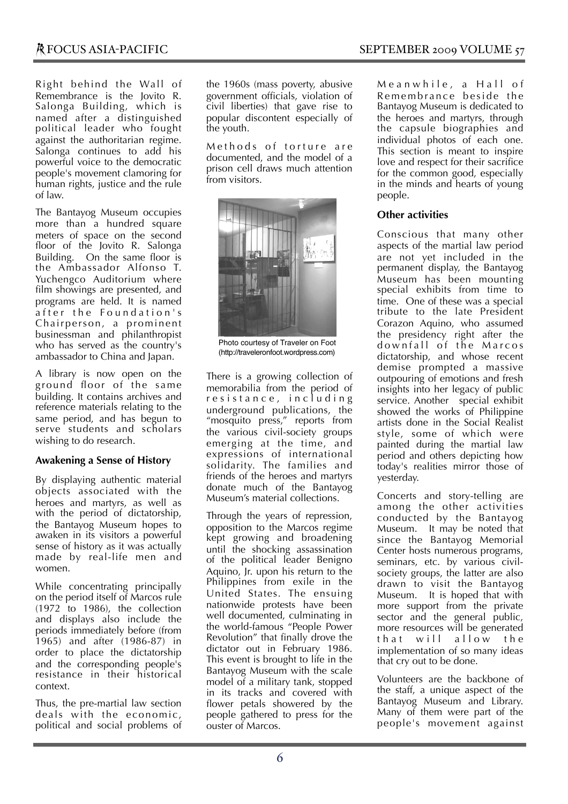Right behind the Wall of Remembrance is the Jovito R. Salonga Building, which is named after a distinguished political leader who fought against the authoritarian regime. Salonga continues to add his powerful voice to the democratic people's movement clamoring for human rights, justice and the rule of law.

The Bantayog Museum occupies more than a hundred square meters of space on the second floor of the Jovito R. Salonga Building. On the same floor is the Ambassador Alfonso T. Yuchengco Auditorium where film showings are presented, and programs are held. It is named after the Foundation's Chairperson, a prominent businessman and philanthropist who has served as the country's ambassador to China and Japan.

A library is now open on the ground floor of the same building. It contains archives and reference materials relating to the same period, and has begun to serve students and scholars wishing to do research.

#### **Awakening a Sense of History**

By displaying authentic material objects associated with the heroes and martyrs, as well as with the period of dictatorship, the Bantayog Museum hopes to awaken in its visitors a powerful sense of history as it was actually made by real-life men and women.

While concentrating principally on the period itself of Marcos rule (1972 to 1986), the collection and displays also include the periods immediately before (from 1965) and after (1986-87) in order to place the dictatorship and the corresponding people's resistance in their historical context.

Thus, the pre-martial law section deals with the economic, political and social problems of the 1960s (mass poverty, abusive government officials, violation of civil liberties) that gave rise to popular discontent especially of the youth.

Methods of torture are documented, and the model of a prison cell draws much attention from visitors.



Photo courtesy of Traveler on Foot (http://traveleronfoot.wordpress.com)

There is a growing collection of memorabilia from the period of r e s i s t a n c e , i n c l u d i n g underground publications, the "mosquito press," reports from the various civil-society groups emerging at the time, and expressions of international solidarity. The families and friends of the heroes and martyrs donate much of the Bantayog Museum's material collections.

Through the years of repression, opposition to the Marcos regime kept growing and broadening until the shocking assassination of the political leader Benigno Aquino, Jr. upon his return to the Philippines from exile in the United States. The ensuing nationwide protests have been well documented, culminating in the world-famous "People Power Revolution" that finally drove the dictator out in February 1986. This event is brought to life in the Bantayog Museum with the scale model of a military tank, stopped in its tracks and covered with flower petals showered by the people gathered to press for the ouster of Marcos.

Meanwhile, a Hall of Remembrance beside the Bantayog Museum is dedicated to the heroes and martyrs, through the capsule biographies and individual photos of each one. This section is meant to inspire love and respect for their sacrifice for the common good, especially in the minds and hearts of young people.

#### **Other activities**

Conscious that many other aspects of the martial law period are not yet included in the permanent display, the Bantayog Museum has been mounting special exhibits from time to time. One of these was a special tribute to the late President Corazon Aquino, who assumed the presidency right after the downfall of the Marcos dictatorship, and whose recent demise prompted a massive outpouring of emotions and fresh insights into her legacy of public service. Another special exhibit showed the works of Philippine artists done in the Social Realist style, some of which were painted during the martial law period and others depicting how today's realities mirror those of yesterday.

Concerts and story-telling are among the other activities conducted by the Bantayog Museum. It may be noted that since the Bantayog Memorial Center hosts numerous programs, seminars, etc. by various civilsociety groups, the latter are also drawn to visit the Bantayog Museum. It is hoped that with more support from the private sector and the general public, more resources will be generated that will allow the implementation of so many ideas that cry out to be done.

Volunteers are the backbone of the staff, a unique aspect of the Bantayog Museum and Library. Many of them were part of the people's movement against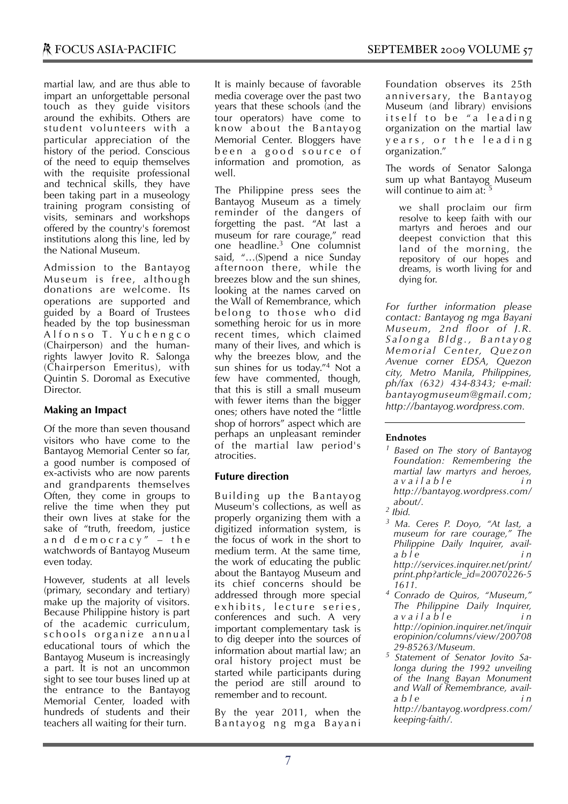martial law, and are thus able to impart an unforgettable personal touch as they guide visitors around the exhibits. Others are student volunteers with a particular appreciation of the history of the period. Conscious of the need to equip themselves with the requisite professional and technical skills, they have been taking part in a museology training program consisting of visits, seminars and workshops offered by the country's foremost institutions along this line, led by the National Museum.

Admission to the Bantayog Museum is free, although donations are welcome. Its operations are supported and guided by a Board of Trustees headed by the top businessman Alfonso T. Yuchengco (Chairperson) and the humanrights lawyer Jovito R. Salonga (Chairperson Emeritus), with Quintin S. Doromal as Executive **Director** 

#### **Making an Impact**

Of the more than seven thousand visitors who have come to the Bantayog Memorial Center so far, a good number is composed of ex-activists who are now parents and grandparents themselves Often, they come in groups to relive the time when they put their own lives at stake for the sake of "truth, freedom, justice and democracy"  $-$  the watchwords of Bantayog Museum even today.

However, students at all levels (primary, secondary and tertiary) make up the majority of visitors. Because Philippine history is part of the academic curriculum, schools organize annual educational tours of which the Bantayog Museum is increasingly a part. It is not an uncommon sight to see tour buses lined up at the entrance to the Bantayog Memorial Center, loaded with hundreds of students and their teachers all waiting for their turn.

It is mainly because of favorable media coverage over the past two years that these schools (and the tour operators) have come to know about the Bantayog Memorial Center. Bloggers have been a good source of information and promotion, as well.

The Philippine press sees the Bantayog Museum as a timely reminder of the dangers of forgetting the past. "At last a museum for rare courage," read one headline.3 One columnist said, "…(S)pend a nice Sunday afternoon there, while the breezes blow and the sun shines, looking at the names carved on the Wall of Remembrance, which belong to those who did something heroic for us in more recent times, which claimed many of their lives, and which is why the breezes blow, and the sun shines for us today."4 Not a few have commented, though, that this is still a small museum with fewer items than the bigger ones; others have noted the "little shop of horrors" aspect which are perhaps an unpleasant reminder of the martial law period's atrocities.

#### **Future direction**

Building up the Bantayog Museum's collections, as well as properly organizing them with a digitized information system, is the focus of work in the short to medium term. At the same time, the work of educating the public about the Bantayog Museum and its chief concerns should be addressed through more special exhibits, lecture series, conferences and such. A very important complementary task is to dig deeper into the sources of information about martial law; an oral history project must be started while participants during the period are still around to remember and to recount.

By the year 2011, when the Bantayog ng mga Bayani

Foundation observes its 25th anniversary, the Bantayog Museum (and library) envisions itself to be "a leading organization on the martial law years, or the leading organization."

The words of Senator Salonga sum up what Bantayog Museum will continue to aim at:

we shall proclaim our firm resolve to keep faith with our martyrs and heroes and our deepest conviction that this land of the morning, the repository of our hopes and dreams, is worth living for and dying for.

*For further information please contact: Bantayog ng mga Bayani Museum, 2nd floor of J.R. S a l o n g a B l d g . , B a n t a y o g Memorial Center, Quezon Avenue corner EDSA, Quezon city, Metro Manila, Philippines, ph/fax (632) 434-8343; e-mail: bantayogmuseum@gmail.com; http://bantayog.wordpress.com.*

- *1 Based on The story of Bantayog Foundation: Remembering the martial law martyrs and heroes, a v a i l a b l e i n http://bantayog.wordpress.com/ about/.*
- *2 Ibid.*
- *3 Ma. Ceres P. Doyo, "At last, a museum for rare courage," The Philippine Daily Inquirer, availa b l e i n http://services.inquirer.net/print/ print.php?article\_id=20070226-5 1611.*
- *4 Conrado de Quiros, "Museum," The Philippine Daily Inquirer, a v a i l a b l e i n http://opinion.inquirer.net/inquir eropinion/columns/view/200708 29-85263/Museum.*
- *5 Statement of Senator Jovito Salonga during the 1992 unveiling of the Inang Bayan Monument and Wall of Remembrance, availa b l e i n http://bantayog.wordpress.com/ keeping-faith/.*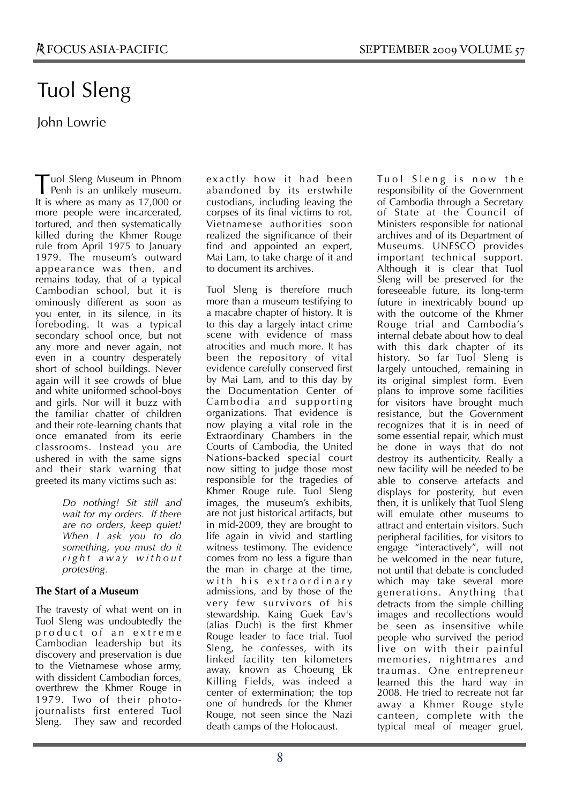# Tuol Sleng

## John Lowrie

uol Sleng Museum in Phnom Tuol Sleng Museum in Phnom<br>Penh is an unlikely museum. It is where as many as 17,000 or more people were incarcerated, tortured, and then systematically killed during the Khmer Rouge rule from April 1975 to January 1979. The museum's outward appearance was then, and remains today, that of a typical Cambodian school, but it is ominously different as soon as you enter, in its silence, in its foreboding. It was a typical secondary school once, but not any more and never again, not even in a country desperately short of school buildings. Never again will it see crowds of blue and white uniformed school-boys and girls. Nor will it buzz with the familiar chatter of children and their rote-learning chants that once emanated from its eerie classrooms. Instead you are ushered in with the same signs and their stark warning that greeted its many victims such as:

> *Do nothing! Sit still and wait for my orders. If there are no orders, keep quiet! When I ask you to do something, you must do it r i g h t a w a y w i t h o u t protesting.*

#### **The Start of a Museum**

The travesty of what went on in Tuol Sleng was undoubtedly the product of an extreme Cambodian leadership but its discovery and preservation is due to the Vietnamese whose army, with dissident Cambodian forces, overthrew the Khmer Rouge in 1979. Two of their photojournalists first entered Tuol Sleng. They saw and recorded exactly how it had been abandoned by its erstwhile custodians, including leaving the corpses of its final victims to rot. Vietnamese authorities soon realized the significance of their find and appointed an expert, Mai Lam, to take charge of it and to document its archives.

Tuol Sleng is therefore much more than a museum testifying to a macabre chapter of history. It is to this day a largely intact crime scene with evidence of mass atrocities and much more. It has been the repository of vital evidence carefully conserved first by Mai Lam, and to this day by the Documentation Center of Cambodia and supporting organizations. That evidence is now playing a vital role in the Extraordinary Chambers in the Courts of Cambodia, the United Nations-backed special court now sitting to judge those most responsible for the tragedies of Khmer Rouge rule. Tuol Sleng images, the museum's exhibits, are not just historical artifacts, but in mid-2009, they are brought to life again in vivid and startling witness testimony. The evidence comes from no less a figure than the man in charge at the time, with his extraordinary admissions, and by those of the very few survivors of his stewardship. Kaing Guek Eav's (alias Duch) is the first Khmer Rouge leader to face trial. Tuol Sleng, he confesses, with its linked facility ten kilometers away, known as Choeung Ek Killing Fields, was indeed a center of extermination; the top one of hundreds for the Khmer Rouge, not seen since the Nazi death camps of the Holocaust.

Tuol Sleng is now the responsibility of the Government of Cambodia through a Secretary of State at the Council of Ministers responsible for national archives and of its Department of Museums. UNESCO provides important technical support. Although it is clear that Tuol Sleng will be preserved for the foreseeable future, its long-term future in inextricably bound up with the outcome of the Khmer Rouge trial and Cambodia's internal debate about how to deal with this dark chapter of its history. So far Tuol Sleng is largely untouched, remaining in its original simplest form. Even plans to improve some facilities for visitors have brought much resistance, but the Government recognizes that it is in need of some essential repair, which must be done in ways that do not destroy its authenticity. Really a new facility will be needed to be able to conserve artefacts and displays for posterity, but even then, it is unlikely that Tuol Sleng will emulate other museums to attract and entertain visitors. Such peripheral facilities, for visitors to engage "interactively", will not be welcomed in the near future, not until that debate is concluded which may take several more generations. Anything that detracts from the simple chilling images and recollections would be seen as insensitive while people who survived the period live on with their painful memories, nightmares and traumas. One entrepreneur learned this the hard way in 2008. He tried to recreate not far away a Khmer Rouge style canteen, complete with the typical meal of meager gruel,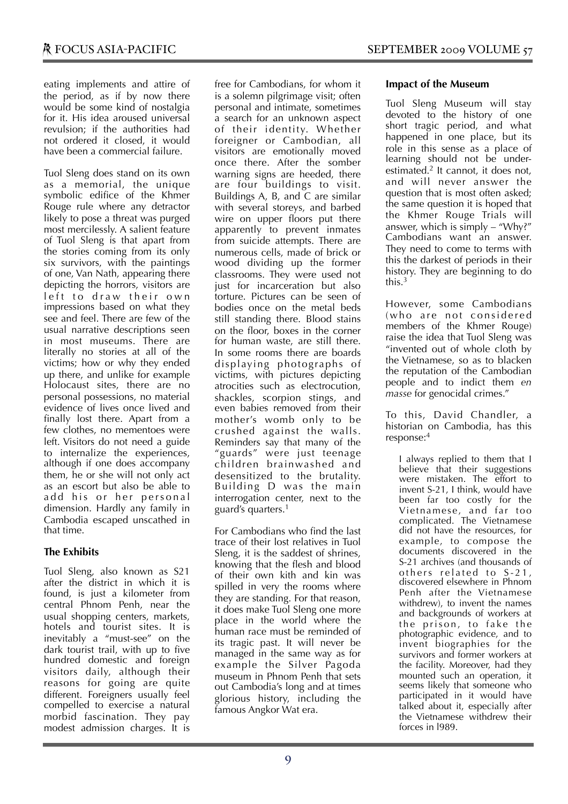eating implements and attire of the period, as if by now there would be some kind of nostalgia for it. His idea aroused universal revulsion; if the authorities had not ordered it closed, it would have been a commercial failure.

Tuol Sleng does stand on its own as a memorial, the unique symbolic edifice of the Khmer Rouge rule where any detractor likely to pose a threat was purged most mercilessly. A salient feature of Tuol Sleng is that apart from the stories coming from its only six survivors, with the paintings of one, Van Nath, appearing there depicting the horrors, visitors are left to draw their own impressions based on what they see and feel. There are few of the usual narrative descriptions seen in most museums. There are literally no stories at all of the victims; how or why they ended up there, and unlike for example Holocaust sites, there are no personal possessions, no material evidence of lives once lived and finally lost there. Apart from a few clothes, no mementoes were left. Visitors do not need a guide to internalize the experiences, although if one does accompany them, he or she will not only act as an escort but also be able to add his or her personal dimension. Hardly any family in Cambodia escaped unscathed in that time.

### **The Exhibits**

Tuol Sleng, also known as S21 after the district in which it is found, is just a kilometer from central Phnom Penh, near the usual shopping centers, markets, hotels and tourist sites. It is inevitably a "must-see" on the dark tourist trail, with up to five hundred domestic and foreign visitors daily, although their reasons for going are quite different. Foreigners usually feel compelled to exercise a natural morbid fascination. They pay modest admission charges. It is

free for Cambodians, for whom it is a solemn pilgrimage visit; often personal and intimate, sometimes a search for an unknown aspect of their identity. Whether foreigner or Cambodian, all visitors are emotionally moved once there. After the somber warning signs are heeded, there are four buildings to visit. Buildings A, B, and C are similar with several storeys, and barbed wire on upper floors put there apparently to prevent inmates from suicide attempts. There are numerous cells, made of brick or wood dividing up the former classrooms. They were used not just for incarceration but also torture. Pictures can be seen of bodies once on the metal beds still standing there. Blood stains on the floor, boxes in the corner for human waste, are still there. In some rooms there are boards displaying photographs of victims, with pictures depicting atrocities such as electrocution, shackles, scorpion stings, and even babies removed from their mother's womb only to be crushed against the walls. Reminders say that many of the "guards" were just teenage children brainwashed and desensitized to the brutality. Building D was the main interrogation center, next to the guard's quarters.1

For Cambodians who find the last trace of their lost relatives in Tuol Sleng, it is the saddest of shrines, knowing that the flesh and blood of their own kith and kin was spilled in very the rooms where they are standing. For that reason, it does make Tuol Sleng one more place in the world where the human race must be reminded of its tragic past. It will never be managed in the same way as for example the Silver Pagoda museum in Phnom Penh that sets out Cambodia's long and at times glorious history, including the famous Angkor Wat era.

#### **Impact of the Museum**

Tuol Sleng Museum will stay devoted to the history of one short tragic period, and what happened in one place, but its role in this sense as a place of learning should not be underestimated.2 It cannot, it does not, and will never answer the question that is most often asked; the same question it is hoped that the Khmer Rouge Trials will answer, which is  $\sinh(y - \alpha)$  why?" Cambodians want an answer. They need to come to terms with this the darkest of periods in their history. They are beginning to do this.3

However, some Cambodians (who are not considered members of the Khmer Rouge) raise the idea that Tuol Sleng was "invented out of whole cloth by the Vietnamese, so as to blacken the reputation of the Cambodian people and to indict them *en masse* for genocidal crimes."

To this, David Chandler, a historian on Cambodia, has this response:4

I always replied to them that I believe that their suggestions were mistaken. The effort to invent S-21, I think, would have been far too costly for the Vietnamese, and far too complicated. The Vietnamese did not have the resources, for example, to compose the documents discovered in the S-21 archives (and thousands of others related to S-21, discovered elsewhere in Phnom Penh after the Vietnamese withdrew), to invent the names and backgrounds of workers at the prison, to fake the photographic evidence, and to invent biographies for the survivors and former workers at the facility. Moreover, had they mounted such an operation, it seems likely that someone who participated in it would have talked about it, especially after the Vietnamese withdrew their forces in l989.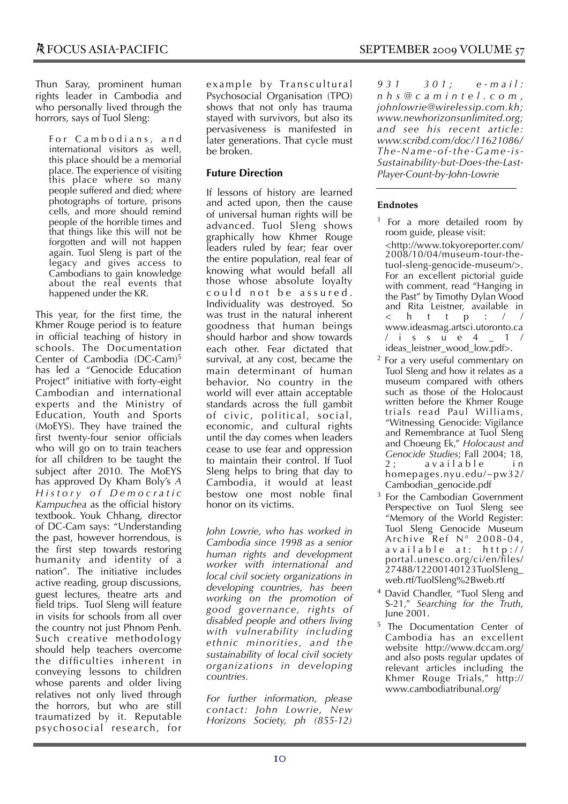Thun Saray, prominent human rights leader in Cambodia and who personally lived through the horrors, says of Tuol Sleng:

For Cambodians, and international visitors as well, this place should be a memorial place. The experience of visiting this place where so many people suffered and died; where photographs of torture, prisons cells, and more should remind people of the horrible times and that things like this will not be forgotten and will not happen again. Tuol Sleng is part of the legacy and gives access to Cambodians to gain knowledge about the real events that happened under the KR.

This year, for the first time, the Khmer Rouge period is to feature in official teaching of history in schools. The Documentation Center of Cambodia (DC-Cam)<sup>5</sup> has led a "Genocide Education Project" initiative with forty-eight Cambodian and international experts and the Ministry of Education, Youth and Sports (MoEYS). They have trained the first twenty-four senior officials who will go on to train teachers for all children to be taught the subject after 2010. The MoEYS has approved Dy Kham Boly's *A H i s t o r y o f D e m o c r a t i c Kampuchea* as the official history textbook. Youk Chhang, director of DC-Cam says: "Understanding the past, however horrendous, is the first step towards restoring humanity and identity of a nation". The initiative includes active reading, group discussions, guest lectures, theatre arts and field trips. Tuol Sleng will feature in visits for schools from all over the country not just Phnom Penh. Such creative methodology should help teachers overcome the difficulties inherent in conveying lessons to children whose parents and older living relatives not only lived through the horrors, but who are still traumatized by it. Reputable psychosocial research, for

example by Transcultural Psychosocial Organisation (TPO) shows that not only has trauma stayed with survivors, but also its pervasiveness is manifested in later generations. That cycle must be broken.

### **Future Direction**

If lessons of history are learned and acted upon, then the cause of universal human rights will be advanced. Tuol Sleng shows graphically how Khmer Rouge leaders ruled by fear; fear over the entire population, real fear of knowing what would befall all those whose absolute loyalty could not be assured. Individuality was destroyed. So was trust in the natural inherent goodness that human beings should harbor and show towards each other. Fear dictated that survival, at any cost, became the main determinant of human behavior. No country in the world will ever attain acceptable standards across the full gambit of civic, political, social, economic, and cultural rights until the day comes when leaders cease to use fear and oppression to maintain their control. If Tuol Sleng helps to bring that day to Cambodia, it would at least bestow one most noble final honor on its victims.

*John Lowrie, who has worked in Cambodia since 1998 as a senior human rights and development worker with international and local civil society organizations in developing countries, has been working on the promotion of good governance, rights of disabled people and others living with vulnerability including ethnic minorities, and the sustainability of local civil society organizations in developing countries.*

*For further information, please contact: John Lowrie, New Horizons Society, ph (855-12)* 

*9 3 1 3 0 1 ; e - m a i l : n h s @ c a m i n t e l . c o m , johnlowrie@wirelessip.com.kh; www.newhorizonsunlimited.org; and see his recent article: www.scribd.com/doc/11621086/ Th e - N a m e - o f - t h e - G a m e - i s - Sustainability-but-Does-the-Last-Player-Count-by-John-Lowrie*

#### **Endnotes**

 $<sup>1</sup>$  For a more detailed room by</sup> room guide, please visit:

 <http://www.tokyoreporter.com/ 2008/10/04/museum-tour-thetuol-sleng-genocide-museum/>. For an excellent pictorial guide with comment, read "Hanging in the Past" by Timothy Dylan Wood and Rita Leistner, available in <http:// www.ideasmag.artsci.utoronto.ca /issue4\_1/ ideas\_leistner\_wood\_low.pdf>.

- 2 For a very useful commentary on Tuol Sleng and how it relates as a museum compared with others such as those of the Holocaust written before the Khmer Rouge trials read Paul Williams, "Witnessing Genocide: Vigilance and Remembrance at Tuol Sleng and Choeung Ek," *Holocaust and Genocide Studies*; Fall 2004; 18, available in homepages.nyu.edu/~pw32/ Cambodian\_genocide.pdf
- <sup>3</sup> For the Cambodian Government Perspective on Tuol Sleng see "Memory of the World Register: Tuol Sleng Genocide Museum Archive  $Ref N^{\circ} 2008-04$ , available at: http:// portal.unesco.org/ci/en/files/ 27488/12200140123TuolSleng\_ web.rtf/TuolSleng%2Bweb.rtf
- 4 David Chandler, "Tuol Sleng and S-21," *Searching for the Truth*, June 2001.
- 5 The Documentation Center of Cambodia has an excellent website http://www.dccam.org/ and also posts regular updates of relevant articles including the Khmer Rouge Trials," http:// www.cambodiatribunal.org/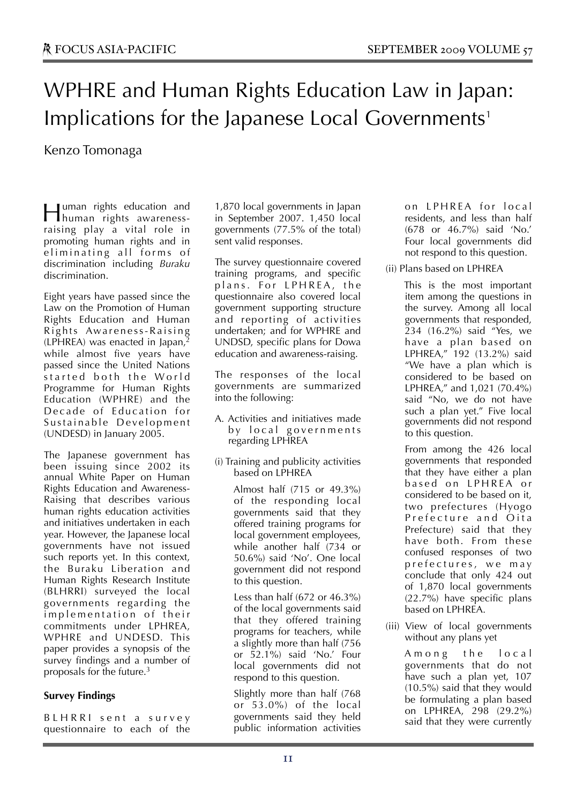# WPHRE and Human Rights Education Law in Japan: Implications for the Japanese Local Governments<sup>1</sup>

Kenzo Tomonaga

uman rights education and **Human** rights education and<br>human rights awarenessraising play a vital role in promoting human rights and in eliminating all forms of discrimination including *Buraku* discrimination.

Eight years have passed since the Law on the Promotion of Human Rights Education and Human Rights Awareness-Raising  $(LPHREA)$  was enacted in Japan, while almost five years have passed since the United Nations started both the World Programme for Human Rights Education (WPHRE) and the Decade of Education for Sustainable Development (UNDESD) in January 2005.

The Japanese government has been issuing since 2002 its annual White Paper on Human Rights Education and Awareness-Raising that describes various human rights education activities and initiatives undertaken in each year. However, the Japanese local governments have not issued such reports yet. In this context, the Buraku Liberation and Human Rights Research Institute (BLHRRI) surveyed the local governments regarding the implementation of their commitments under LPHREA, WPHRE and UNDESD. This paper provides a synopsis of the survey findings and a number of proposals for the future.3

#### **Survey Findings**

B L H R R I s e n t a survey questionnaire to each of the

1,870 local governments in Japan in September 2007. 1,450 local governments (77.5% of the total) sent valid responses.

The survey questionnaire covered training programs, and specific plans. For LPHREA, the questionnaire also covered local government supporting structure and reporting of activities undertaken; and for WPHRE and UNDSD, specific plans for Dowa education and awareness-raising.

The responses of the local governments are summarized into the following:

- A. Activities and initiatives made by local governments regarding LPHREA
- (i) Training and publicity activities based on LPHREA

 Almost half (715 or 49.3%) of the responding local governments said that they offered training programs for local government employees, while another half (734 or 50.6%) said 'No'. One local government did not respond to this question.

 Less than half (672 or 46.3%) of the local governments said that they offered training programs for teachers, while a slightly more than half (756 or 52.1%) said 'No.' Four local governments did not respond to this question.

 Slightly more than half (768 or 53.0%) of the local governments said they held public information activities on LPHREA for local residents, and less than half (678 or 46.7%) said 'No.' Four local governments did not respond to this question.

#### (ii) Plans based on LPHREA

 This is the most important item among the questions in the survey. Among all local governments that responded, 234 (16.2%) said "Yes, we have a plan based on LPHREA," 192 (13.2%) said "We have a plan which is considered to be based on LPHREA," and 1,021 (70.4%) said "No, we do not have such a plan yet." Five local governments did not respond to this question.

 From among the 426 local governments that responded that they have either a plan based on LPHREA or considered to be based on it, two prefectures (Hyogo Prefecture and Oita Prefecture) said that they have both. From these confused responses of two prefectures, we may conclude that only 424 out of 1,870 local governments (22.7%) have specific plans based on LPHREA.

(iii) View of local governments without any plans yet

> Among the local governments that do not have such a plan yet, 107 (10.5%) said that they would be formulating a plan based on LPHREA, 298 (29.2%) said that they were currently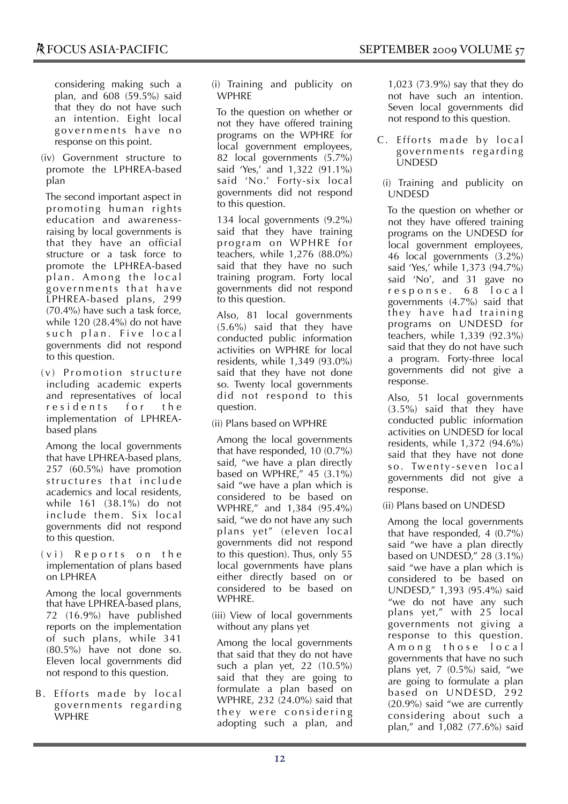considering making such a plan, and 608 (59.5%) said that they do not have such an intention. Eight local governments have no response on this point.

(iv) Government structure to promote the LPHREA-based plan

 The second important aspect in promoting human rights education and awarenessraising by local governments is that they have an official structure or a task force to promote the LPHREA-based plan. Among the local governments that have LPHREA-based plans, 299 (70.4%) have such a task force, while 120 (28.4%) do not have such plan. Five local governments did not respond to this question.

 $(v)$  Promotion structure including academic experts and representatives of local residents for the implementation of LPHREAbased plans

 Among the local governments that have LPHREA-based plans, 257 (60.5%) have promotion structures that include academics and local residents, while 161 (38.1%) do not include them. Six local governments did not respond to this question.

 $(v_i)$  Reports on the implementation of plans based on LPHREA

 Among the local governments that have LPHREA-based plans, 72 (16.9%) have published reports on the implementation of such plans, while 341 (80.5%) have not done so. Eleven local governments did not respond to this question.

B. Efforts made by local governments regarding WPHRE

(i) Training and publicity on WPHRE

 To the question on whether or not they have offered training programs on the WPHRE for local government employees, 82 local governments (5.7%) said 'Yes,' and 1,322 (91.1%) said 'No.' Forty-six local governments did not respond to this question.

 134 local governments (9.2%) said that they have training program on WPHRE for teachers, while 1,276 (88.0%) said that they have no such training program. Forty local governments did not respond to this question.

 Also, 81 local governments (5.6%) said that they have conducted public information activities on WPHRE for local residents, while 1,349 (93.0%) said that they have not done so. Twenty local governments did not respond to this question.

(ii) Plans based on WPHRE

 Among the local governments that have responded, 10 (0.7%) said, "we have a plan directly based on WPHRE," 45 (3.1%) said "we have a plan which is considered to be based on WPHRE," and 1,384 (95.4%) said, "we do not have any such plans yet" (eleven local governments did not respond to this question). Thus, only 55 local governments have plans either directly based on or considered to be based on **WPHRE** 

(iii) View of local governments without any plans yet

 Among the local governments that said that they do not have such a plan yet, 22 (10.5%) said that they are going to formulate a plan based on WPHRE, 232 (24.0%) said that they were considering adopting such a plan, and 1,023 (73.9%) say that they do not have such an intention. Seven local governments did not respond to this question.

- C. Efforts made by local governments regarding UNDESD
- (i) Training and publicity on UNDESD

 To the question on whether or not they have offered training programs on the UNDESD for local government employees, 46 local governments (3.2%) said 'Yes,' while 1,373 (94.7%) said 'No', and 31 gave no response. 68 local governments (4.7%) said that they have had training programs on UNDESD for teachers, while 1,339 (92.3%) said that they do not have such a program. Forty-three local governments did not give a response.

 Also, 51 local governments (3.5%) said that they have conducted public information activities on UNDESD for local residents, while 1,372 (94.6%) said that they have not done so. Twenty-seven local governments did not give a response.

(ii) Plans based on UNDESD

 Among the local governments that have responded, 4 (0.7%) said "we have a plan directly based on UNDESD," 28 (3.1%) said "we have a plan which is considered to be based on UNDESD," 1,393 (95.4%) said "we do not have any such plans yet," with 25 local governments not giving a response to this question. Among those local governments that have no such plans yet, 7 (0.5%) said, "we are going to formulate a plan based on UNDESD, 292 (20.9%) said "we are currently considering about such a plan," and 1,082 (77.6%) said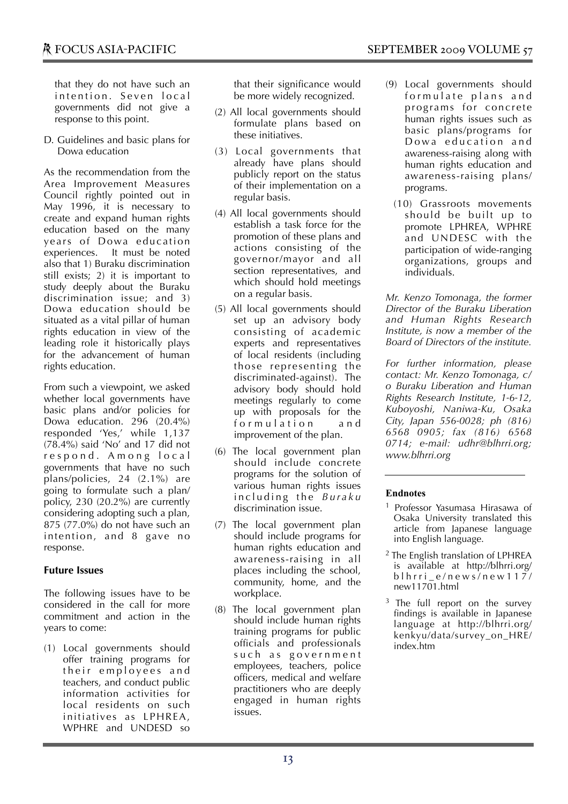that they do not have such an intention. Seven local governments did not give a response to this point.

D. Guidelines and basic plans for Dowa education

As the recommendation from the Area Improvement Measures Council rightly pointed out in May 1996, it is necessary to create and expand human rights education based on the many years of Dowa education experiences. It must be noted also that 1) Buraku discrimination still exists; 2) it is important to study deeply about the Buraku discrimination issue; and 3) Dowa education should be situated as a vital pillar of human rights education in view of the leading role it historically plays for the advancement of human rights education.

From such a viewpoint, we asked whether local governments have basic plans and/or policies for Dowa education. 296 (20.4%) responded 'Yes,' while 1,137 (78.4%) said 'No' and 17 did not r e s p o n d . A m o n g l o c a l governments that have no such plans/policies, 24 (2.1%) are going to formulate such a plan/ policy, 230 (20.2%) are currently considering adopting such a plan, 875 (77.0%) do not have such an intention, and 8 gave no response.

#### **Future Issues**

The following issues have to be considered in the call for more commitment and action in the years to come:

(1) Local governments should offer training programs for their employees and teachers, and conduct public information activities for local residents on such initiatives as LPHREA, WPHRE and UNDESD so

that their significance would be more widely recognized.

- (2) All local governments should formulate plans based on these initiatives.
- (3) Local governments that already have plans should publicly report on the status of their implementation on a regular basis.
- (4) All local governments should establish a task force for the promotion of these plans and actions consisting of the governor/mayor and all section representatives, and which should hold meetings on a regular basis.
- (5) All local governments should set up an advisory body consisting of academic experts and representatives of local residents (including those representing the discriminated-against). The advisory body should hold meetings regularly to come up with proposals for the formulation and improvement of the plan.
- (6) The local government plan should include concrete programs for the solution of various human rights issues including the *Buraku* discrimination issue.
- (7) The local government plan should include programs for human rights education and awareness-raising in all places including the school, community, home, and the workplace.
- (8) The local government plan should include human rights training programs for public officials and professionals such as government employees, teachers, police officers, medical and welfare practitioners who are deeply engaged in human rights issues.
- (9) Local governments should formulate plans and programs for concrete human rights issues such as basic plans/programs for Dowa education and awareness-raising along with human rights education and awareness-raising plans/ programs.
	- (10) Grassroots movements should be built up to promote LPHREA, WPHRE and UNDESC with the participation of wide-ranging organizations, groups and individuals.

*Mr. Kenzo Tomonaga, the former Director of the Buraku Liberation and Human Rights Research Institute, is now a member of the Board of Directors of the institute.*

*For further information, please contact: Mr. Kenzo Tomonaga, c/ o Buraku Liberation and Human Rights Research Institute, 1-6-12, Kuboyoshi, Naniwa-Ku, Osaka City, Japan 556-0028; ph (816) 6568 0905; fax (816) 6568 0714; e-mail: udhr@blhrri.org; www.blhrri.org*

- <sup>1</sup> Professor Yasumasa Hirasawa of Osaka University translated this article from Japanese language into English language.
- 2 The English translation of LPHREA is available at http://blhrri.org/ blhrri\_e/news/new117/ new11701.html
- <sup>3</sup> The full report on the survey findings is available in Japanese language at http://blhrri.org/ kenkyu/data/survey\_on\_HRE/ index.htm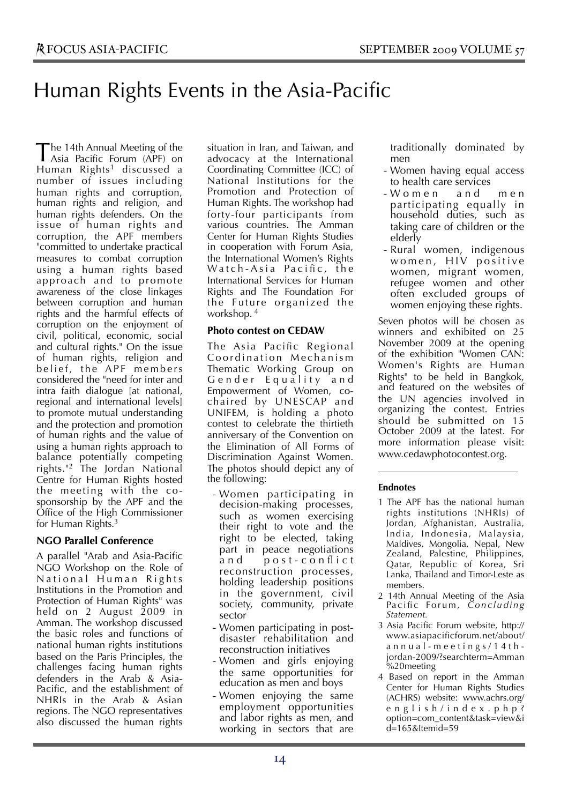## Human Rights Events in the Asia-Pacific

The 14th Annual Meeting of the<br>Asia Pacific Forum (APF) on Asia Pacific Forum (APF) on Human Rights<sup>1</sup> discussed a number of issues including human rights and corruption, human rights and religion, and human rights defenders. On the issue of human rights and corruption, the APF members "committed to undertake practical measures to combat corruption using a human rights based approach and to promote awareness of the close linkages between corruption and human rights and the harmful effects of corruption on the enjoyment of civil, political, economic, social and cultural rights." On the issue of human rights, religion and belief, the APF members considered the "need for inter and intra faith dialogue [at national, regional and international levels] to promote mutual understanding and the protection and promotion of human rights and the value of using a human rights approach to balance potentially competing rights."2 The Jordan National Centre for Human Rights hosted the meeting with the cosponsorship by the APF and the Office of the High Commissioner for Human Rights.<sup>3</sup>

#### **NGO Parallel Conference**

A parallel "Arab and Asia-Pacific NGO Workshop on the Role of National Human Rights Institutions in the Promotion and Protection of Human Rights" was held on 2 August  $2009$  in Amman. The workshop discussed the basic roles and functions of national human rights institutions based on the Paris Principles, the challenges facing human rights defenders in the Arab & Asia-Pacific, and the establishment of NHRIs in the Arab & Asian regions. The NGO representatives also discussed the human rights

situation in Iran, and Taiwan, and advocacy at the International Coordinating Committee (ICC) of National Institutions for the Promotion and Protection of Human Rights. The workshop had forty-four participants from various countries. The Amman Center for Human Rights Studies in cooperation with Forum Asia, the International Women's Rights Watch-Asia Pacific, the International Services for Human Rights and The Foundation For the Future organized the workshop. 4

#### **Photo contest on CEDAW**

The Asia Pacific Regional Coordination Mechanism Thematic Working Group on Gender Equality and Empowerment of Women, cochaired by UNESCAP and UNIFEM, is holding a photo contest to celebrate the thirtieth anniversary of the Convention on the Elimination of All Forms of Discrimination Against Women. The photos should depict any of the following:

- Women participating in decision-making processes, such as women exercising their right to vote and the right to be elected, taking part in peace negotiations and post-conflict reconstruction processes, holding leadership positions in the government, civil society, community, private sector
- Women participating in postdisaster rehabilitation and reconstruction initiatives
- Women and girls enjoying the same opportunities for education as men and boys
- Women enjoying the same employment opportunities and labor rights as men, and working in sectors that are

traditionally dominated by men

- Women having equal access to health care services
- W o m e n a n d m e n participating equally in household duties, such as taking care of children or the elderly
- Rural women, indigenous women, HIV positive women, migrant women, refugee women and other often excluded groups of women enjoying these rights.

Seven photos will be chosen as winners and exhibited on 25 November 2009 at the opening of the exhibition "Women CAN: Women's Rights are Human Rights" to be held in Bangkok, and featured on the websites of the UN agencies involved in organizing the contest. Entries should be submitted on 15 October 2009 at the latest. For more information please visit: www.cedawphotocontest.org.

- 1 The APF has the national human rights institutions (NHRIs) of Jordan, Afghanistan, Australia, India, Indonesia, Malaysia, Maldives, Mongolia, Nepal, New Zealand, Palestine, Philippines, Qatar, Republic of Korea, Sri Lanka, Thailand and Timor-Leste as members.
- 2 14th Annual Meeting of the Asia Pacific Forum, *Concluding Statement.*
- 3 Asia Pacific Forum website, http:// www.asiapacificforum.net/about/ annual-meetings/14thjordan-2009/?searchterm=Amman %20meeting
- 4 Based on report in the Amman Center for Human Rights Studies (ACHRS) website: www.achrs.org/ english/index.php? option=com\_content&task=view&i d=165&Itemid=59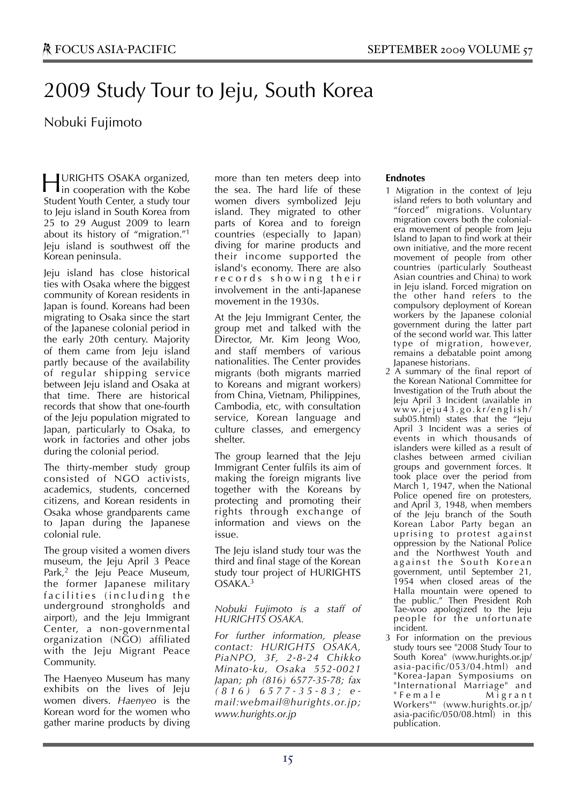## 2009 Study Tour to Jeju, South Korea

## Nobuki Fujimoto

URIGHTS OSAKA organized, **HURIGHTS OSAKA organized,**<br>in cooperation with the Kobe Student Youth Center, a study tour to Jeju island in South Korea from 25 to 29 August 2009 to learn about its history of "migration."1 Jeju island is southwest off the Korean peninsula.

Jeju island has close historical ties with Osaka where the biggest community of Korean residents in Japan is found. Koreans had been migrating to Osaka since the start of the Japanese colonial period in the early 20th century. Majority of them came from Jeju island partly because of the availability of regular shipping service between Jeju island and Osaka at that time. There are historical records that show that one-fourth of the Jeju population migrated to Japan, particularly to Osaka, to work in factories and other jobs during the colonial period.

The thirty-member study group consisted of NGO activists, academics, students, concerned citizens, and Korean residents in Osaka whose grandparents came to Japan during the Japanese colonial rule.

The group visited a women divers museum, the Jeju April 3 Peace Park,<sup>2</sup> the Jeju Peace Museum, the former Japanese military facilities (including the underground strongholds and airport), and the Jeju Immigrant Center, a non-governmental organization (NGO) affiliated with the Jeju Migrant Peace Community.

The Haenyeo Museum has many exhibits on the lives of Jeju women divers. *Haenyeo* is the Korean word for the women who gather marine products by diving

more than ten meters deep into the sea. The hard life of these women divers symbolized Jeju island. They migrated to other parts of Korea and to foreign countries (especially to Japan) diving for marine products and their income supported the island's economy. There are also r e c o r d s s h o w i n g t h e i r involvement in the anti-Japanese movement in the 1930s.

At the Jeju Immigrant Center, the group met and talked with the Director, Mr. Kim Jeong Woo, and staff members of various nationalities. The Center provides migrants (both migrants married to Koreans and migrant workers) from China, Vietnam, Philippines, Cambodia, etc, with consultation service, Korean language and culture classes, and emergency shelter.

The group learned that the Jeju Immigrant Center fulfils its aim of making the foreign migrants live together with the Koreans by protecting and promoting their rights through exchange of information and views on the issue.

The Jeju island study tour was the third and final stage of the Korean study tour project of HURIGHTS OSAKA.3

*Nobuki Fujimoto is a staff of HURIGHTS OSAKA.*

*For further information, please contact: HURIGHTS OSAKA, PiaNPO, 3F, 2-8-24 Chikko Minato-ku, Osaka 552-0021 Japan; ph (816) 6577-35-78; fax ( 8 1 6 ) 6 5 7 7 - 3 5 - 8 3 ; e mail:webmail@hurights.or.jp; www.hurights.or.jp*

- 1 Migration in the context of Jeju island refers to both voluntary and "forced" migrations. Voluntary migration covers both the colonialera movement of people from Jeju Island to Japan to find work at their own initiative, and the more recent movement of people from other countries (particularly Southeast Asian countries and China) to work in Jeju island. Forced migration on the other hand refers to the compulsory deployment of Korean workers by the Japanese colonial government during the latter part of the second world war. This latter type of migration, however, remains a debatable point among Japanese historians.
- 2 A summary of the final report of the Korean National Committee for Investigation of the Truth about the Jeju April 3 Incident (available in w w w. j e j u 4 3 . g o . k r / e n g l i s h / sub05.html) states that the "Jeju April 3 Incident was a series of events in which thousands of islanders were killed as a result of clashes between armed civilian groups and government forces. It took place over the period from March 1, 1947, when the National Police opened fire on protesters, and April 3, 1948, when members of the Jeju branch of the South Korean Labor Party began an uprising to protest against oppression by the National Police and the Northwest Youth and against the South Korean government, until September 21, 1954 when closed areas of the Halla mountain were opened to the public." Then President Roh Tae-woo apologized to the Jeju people for the unfortunate incident.
- 3 For information on the previous study tours see "2008 Study Tour to South Korea" (www.hurights.or.jp/ asia-pacific/053/04.html) and "Korea-Japan Symposiums on "International Marriage" and "Female Migrant Workers"" (www.hurights.or.jp/ asia-pacific/050/08.html) in this publication.